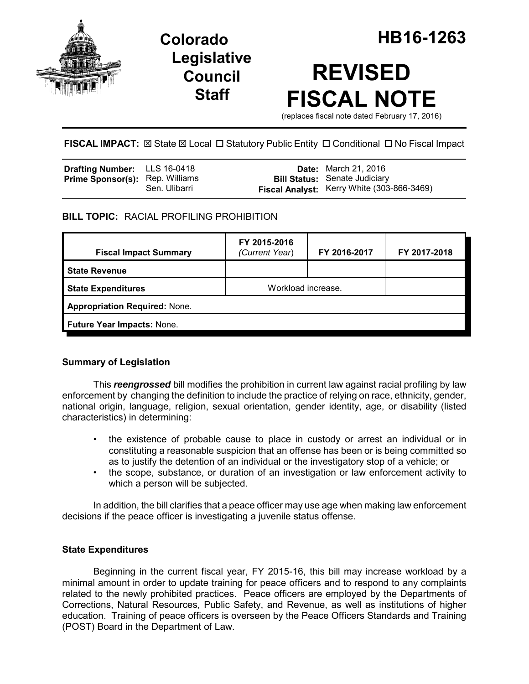

# **Legislative Council Staff**

# **REVISED FISCAL NOTE**

(replaces fiscal note dated February 17, 2016)

**FISCAL IMPACT:** ⊠ State ⊠ Local □ Statutory Public Entity □ Conditional □ No Fiscal Impact

| <b>Drafting Number:</b> LLS 16-0418    |               | <b>Date:</b> March 21, 2016                                                        |
|----------------------------------------|---------------|------------------------------------------------------------------------------------|
| <b>Prime Sponsor(s):</b> Rep. Williams | Sen. Ulibarri | <b>Bill Status:</b> Senate Judiciary<br>Fiscal Analyst: Kerry White (303-866-3469) |

## **BILL TOPIC:** RACIAL PROFILING PROHIBITION

| <b>Fiscal Impact Summary</b>         | FY 2015-2016<br>(Current Year) | FY 2016-2017 | FY 2017-2018 |  |  |
|--------------------------------------|--------------------------------|--------------|--------------|--|--|
| <b>State Revenue</b>                 |                                |              |              |  |  |
| <b>State Expenditures</b>            | Workload increase.             |              |              |  |  |
| <b>Appropriation Required: None.</b> |                                |              |              |  |  |
| Future Year Impacts: None.           |                                |              |              |  |  |

## **Summary of Legislation**

This *reengrossed* bill modifies the prohibition in current law against racial profiling by law enforcement by changing the definition to include the practice of relying on race, ethnicity, gender, national origin, language, religion, sexual orientation, gender identity, age, or disability (listed characteristics) in determining:

- the existence of probable cause to place in custody or arrest an individual or in constituting a reasonable suspicion that an offense has been or is being committed so as to justify the detention of an individual or the investigatory stop of a vehicle; or
- the scope, substance, or duration of an investigation or law enforcement activity to which a person will be subjected.

In addition, the bill clarifies that a peace officer may use age when making law enforcement decisions if the peace officer is investigating a juvenile status offense.

#### **State Expenditures**

Beginning in the current fiscal year, FY 2015-16, this bill may increase workload by a minimal amount in order to update training for peace officers and to respond to any complaints related to the newly prohibited practices. Peace officers are employed by the Departments of Corrections, Natural Resources, Public Safety, and Revenue, as well as institutions of higher education. Training of peace officers is overseen by the Peace Officers Standards and Training (POST) Board in the Department of Law.